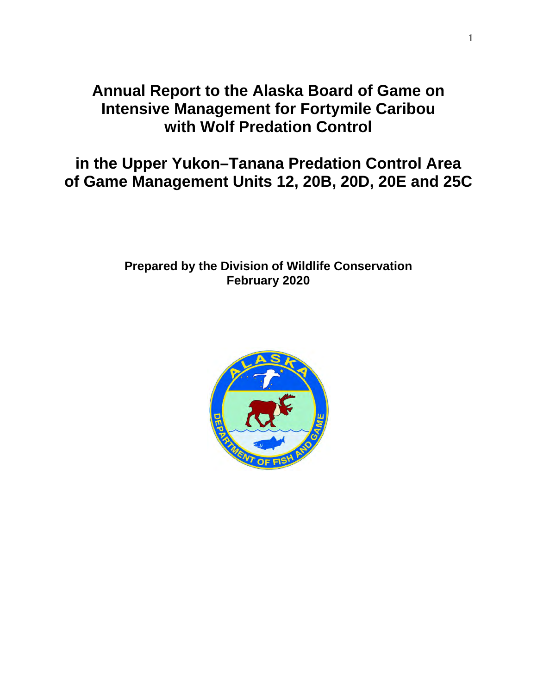# **Annual Report to the Alaska Board of Game on Intensive Management for Fortymile Caribou with Wolf Predation Control**

**in the Upper Yukon–Tanana Predation Control Area of Game Management Units 12, 20B, 20D, 20E and 25C** 

# **Prepared by the Division of Wildlife Conservation February 2020**

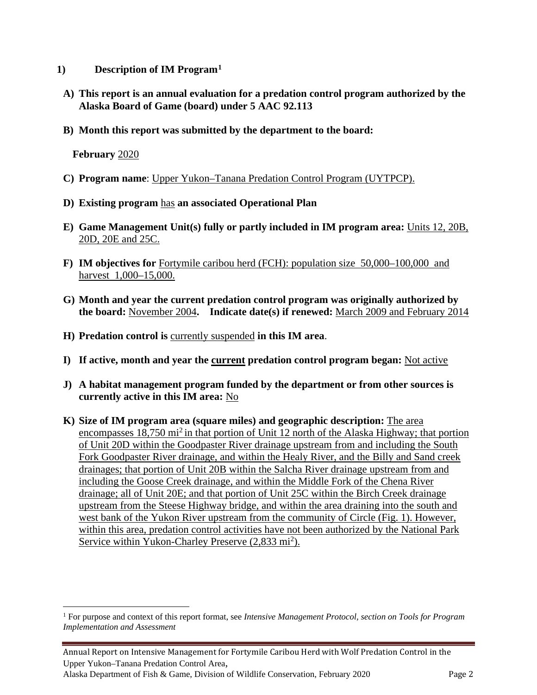- **1) Description of IM Program[1](#page-1-0)**
- **A) This report is an annual evaluation for a predation control program authorized by the Alaska Board of Game (board) under 5 AAC 92.113**
- **B) Month this report was submitted by the department to the board:**

**February** 2020

- **C) Program name**: Upper Yukon–Tanana Predation Control Program (UYTPCP).
- **D) Existing program** has **an associated Operational Plan**
- **E) Game Management Unit(s) fully or partly included in IM program area:** Units 12, 20B, 20D, 20E and 25C.
- **F) IM objectives for** Fortymile caribou herd (FCH): population size 50,000–100,000 and harvest 1,000–15,000.
- **G) Month and year the current predation control program was originally authorized by the board:** November 2004**. Indicate date(s) if renewed:** March 2009 and February 2014
- **H) Predation control is** currently suspended **in this IM area**.
- **I) If active, month and year the current predation control program began:** Not active
- **J) A habitat management program funded by the department or from other sources is currently active in this IM area:** No
- **K) Size of IM program area (square miles) and geographic description:** The area encompasses  $18,750$  mi<sup>2</sup> in that portion of Unit 12 north of the Alaska Highway; that portion of Unit 20D within the Goodpaster River drainage upstream from and including the South Fork Goodpaster River drainage, and within the Healy River, and the Billy and Sand creek drainages; that portion of Unit 20B within the Salcha River drainage upstream from and including the Goose Creek drainage, and within the Middle Fork of the Chena River drainage; all of Unit 20E; and that portion of Unit 25C within the Birch Creek drainage upstream from the Steese Highway bridge, and within the area draining into the south and west bank of the Yukon River upstream from the community of Circle (Fig. 1). However, within this area, predation control activities have not been authorized by the National Park Service within Yukon-Charley Preserve (2,833 mi<sup>2</sup>).

<span id="page-1-0"></span><sup>1</sup> For purpose and context of this report format, see *Intensive Management Protocol, section on Tools for Program Implementation and Assessment*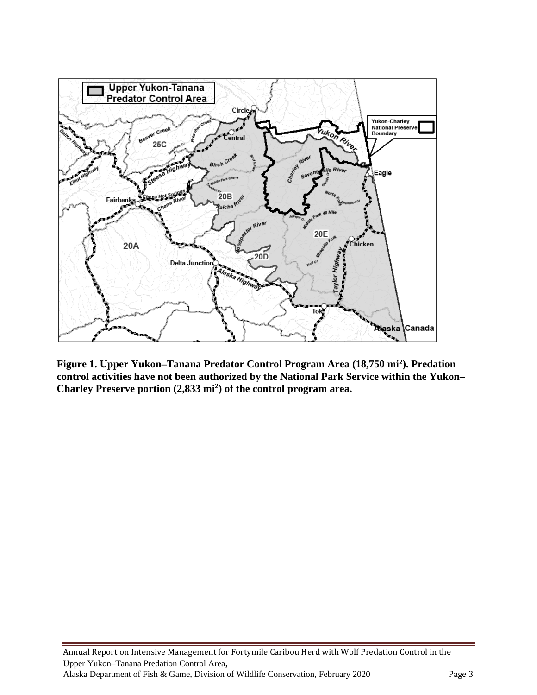

**Figure 1. Upper Yukon–Tanana Predator Control Program Area (18,750 mi2 ). Predation control activities have not been authorized by the National Park Service within the Yukon– Charley Preserve portion (2,833 mi2 ) of the control program area.**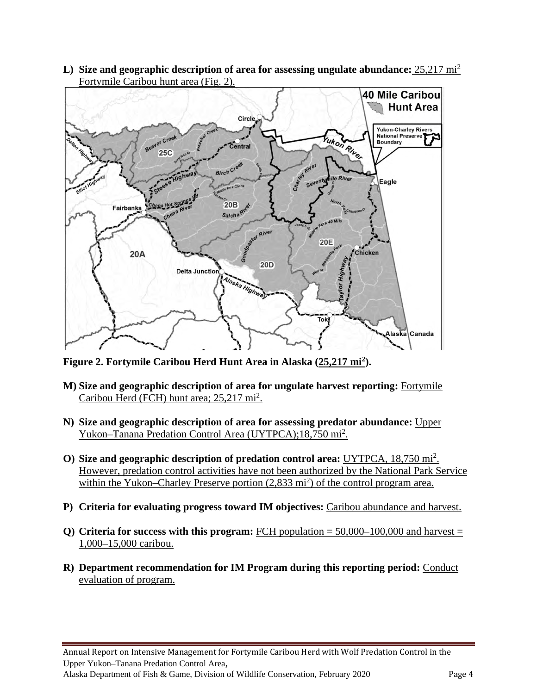**L) Size and geographic description of area for assessing ungulate abundance:** 25,217 mi<sup>2</sup> Fortymile Caribou hunt area (Fig. 2).



**Figure 2. Fortymile Caribou Herd Hunt Area in Alaska (25,217 mi2 ).**

- **M) Size and geographic description of area for ungulate harvest reporting:** Fortymile Caribou Herd (FCH) hunt area; 25,217 mi<sup>2</sup>.
- **N) Size and geographic description of area for assessing predator abundance:** Upper Yukon–Tanana Predation Control Area (UYTPCA);18,750 mi<sup>2</sup>.
- **O) Size and geographic description of predation control area:** UYTPCA, 18,750 mi<sup>2</sup> . However, predation control activities have not been authorized by the National Park Service within the Yukon–Charley Preserve portion (2,833 mi<sup>2</sup>) of the control program area.
- **P) Criteria for evaluating progress toward IM objectives:** Caribou abundance and harvest.
- **Q) Criteria for success with this program:** FCH population = 50,000–100,000 and harvest = 1,000–15,000 caribou.
- **R) Department recommendation for IM Program during this reporting period:** Conduct evaluation of program.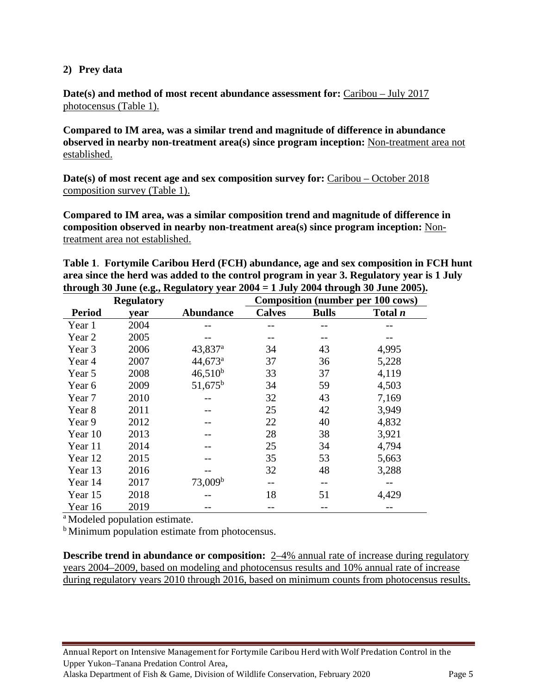## **2) Prey data**

**Date(s) and method of most recent abundance assessment for:** Caribou – July 2017 photocensus (Table 1).

**Compared to IM area, was a similar trend and magnitude of difference in abundance observed in nearby non-treatment area(s) since program inception:** Non-treatment area not established.

**Date(s) of most recent age and sex composition survey for:** Caribou – October 2018 composition survey (Table 1).

**Compared to IM area, was a similar composition trend and magnitude of difference in composition observed in nearby non-treatment area(s) since program inception:** Nontreatment area not established.

**Table 1**. **Fortymile Caribou Herd (FCH) abundance, age and sex composition in FCH hunt area since the herd was added to the control program in year 3. Regulatory year is 1 July through 30 June (e.g., Regulatory year 2004 = 1 July 2004 through 30 June 2005).**

|               | <b>Regulatory</b> |                       | <b>Composition (number per 100 cows)</b> |              |         |  |  |
|---------------|-------------------|-----------------------|------------------------------------------|--------------|---------|--|--|
| <b>Period</b> | year              | <b>Abundance</b>      | <b>Calves</b>                            | <b>Bulls</b> | Total n |  |  |
| Year 1        | 2004              |                       |                                          |              |         |  |  |
| Year 2        | 2005              |                       |                                          |              |         |  |  |
| Year 3        | 2006              | $43,837$ <sup>a</sup> | 34                                       | 43           | 4,995   |  |  |
| Year 4        | 2007              | $44,673$ <sup>a</sup> | 37                                       | 36           | 5,228   |  |  |
| Year 5        | 2008              | $46,510^{b}$          | 33                                       | 37           | 4,119   |  |  |
| Year 6        | 2009              | $51,675^{\rm b}$      | 34                                       | 59           | 4,503   |  |  |
| Year 7        | 2010              |                       | 32                                       | 43           | 7,169   |  |  |
| Year 8        | 2011              |                       | 25                                       | 42           | 3,949   |  |  |
| Year 9        | 2012              |                       | 22                                       | 40           | 4,832   |  |  |
| Year 10       | 2013              |                       | 28                                       | 38           | 3,921   |  |  |
| Year 11       | 2014              |                       | 25                                       | 34           | 4,794   |  |  |
| Year 12       | 2015              |                       | 35                                       | 53           | 5,663   |  |  |
| Year 13       | 2016              |                       | 32                                       | 48           | 3,288   |  |  |
| Year 14       | 2017              | 73,009 <sup>b</sup>   |                                          |              |         |  |  |
| Year 15       | 2018              |                       | 18                                       | 51           | 4,429   |  |  |
| Year 16       | 2019              |                       |                                          |              |         |  |  |

a Modeled population estimate.

<sup>b</sup> Minimum population estimate from photocensus.

**Describe trend in abundance or composition:** 2–4% annual rate of increase during regulatory years 2004–2009, based on modeling and photocensus results and 10% annual rate of increase during regulatory years 2010 through 2016, based on minimum counts from photocensus results.

Annual Report on Intensive Management for Fortymile Caribou Herd with Wolf Predation Control in the Upper Yukon–Tanana Predation Control Area, Alaska Department of Fish & Game, Division of Wildlife Conservation, February 2020 Page 5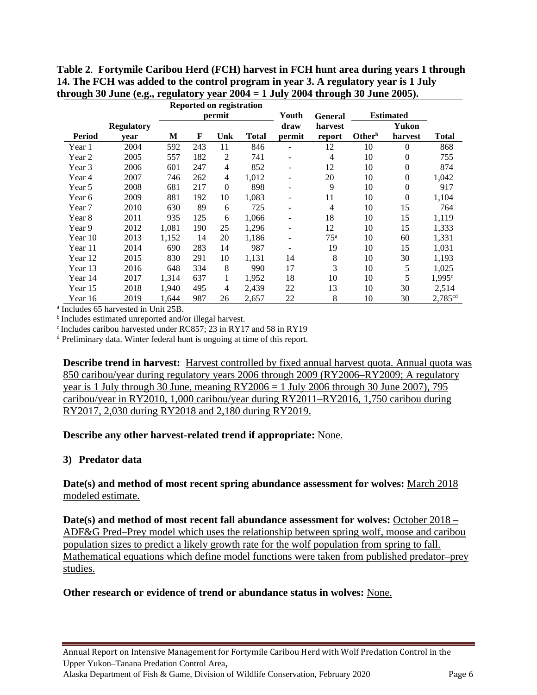**Table 2**. **Fortymile Caribou Herd (FCH) harvest in FCH hunt area during years 1 through 14. The FCH was added to the control program in year 3. A regulatory year is 1 July through 30 June (e.g., regulatory year 2004 = 1 July 2004 through 30 June 2005).** 

|               |                   | <b>Reported on registration</b> |     |                |              |                          |                 |                    |                  |                      |
|---------------|-------------------|---------------------------------|-----|----------------|--------------|--------------------------|-----------------|--------------------|------------------|----------------------|
|               |                   | permit                          |     |                | Youth        | <b>General</b>           |                 | <b>Estimated</b>   |                  |                      |
|               | <b>Regulatory</b> |                                 |     |                |              | draw                     | harvest         |                    | Yukon            |                      |
| <b>Period</b> | year              | М                               | F   | Unk            | <b>Total</b> | permit                   | report          | Other <sup>b</sup> | harvest          | <b>Total</b>         |
| Year 1        | 2004              | 592                             | 243 | 11             | 846          |                          | 12              | 10                 | $\theta$         | 868                  |
| Year 2        | 2005              | 557                             | 182 | 2              | 741          | $\qquad \qquad -$        | 4               | 10                 | $\theta$         | 755                  |
| Year 3        | 2006              | 601                             | 247 | $\overline{4}$ | 852          | -                        | 12              | 10                 | $\theta$         | 874                  |
| Year 4        | 2007              | 746                             | 262 | $\overline{4}$ | 1,012        | $\overline{\phantom{a}}$ | 20              | 10                 | $\boldsymbol{0}$ | 1,042                |
| Year 5        | 2008              | 681                             | 217 | $\mathbf{0}$   | 898          |                          | 9               | 10                 | $\overline{0}$   | 917                  |
| Year 6        | 2009              | 881                             | 192 | 10             | 1,083        | -                        | 11              | 10                 | $\theta$         | 1,104                |
| Year 7        | 2010              | 630                             | 89  | 6              | 725          | $\qquad \qquad -$        | 4               | 10                 | 15               | 764                  |
| Year 8        | 2011              | 935                             | 125 | 6              | 1,066        | -                        | 18              | 10                 | 15               | 1,119                |
| Year 9        | 2012              | 1,081                           | 190 | 25             | 1,296        | $\overline{\phantom{0}}$ | 12              | 10                 | 15               | 1,333                |
| Year 10       | 2013              | 1,152                           | 14  | 20             | 1,186        | -                        | 75 <sup>a</sup> | 10                 | 60               | 1,331                |
| Year 11       | 2014              | 690                             | 283 | 14             | 987          | -                        | 19              | 10                 | 15               | 1,031                |
| Year 12       | 2015              | 830                             | 291 | 10             | 1,131        | 14                       | 8               | 10                 | 30               | 1,193                |
| Year 13       | 2016              | 648                             | 334 | 8              | 990          | 17                       | 3               | 10                 | 5                | 1,025                |
| Year 14       | 2017              | 1,314                           | 637 | 1              | 1,952        | 18                       | 10              | 10                 | 5                | $1,995$ <sup>c</sup> |
| Year 15       | 2018              | 1,940                           | 495 | 4              | 2,439        | 22                       | 13              | 10                 | 30               | 2,514                |
| Year 16       | 2019              | 1,644                           | 987 | 26             | 2,657        | 22                       | 8               | 10                 | 30               | 2,785 <sup>cd</sup>  |

<sup>a</sup> Includes 65 harvested in Unit 25B.

b Includes estimated unreported and/or illegal harvest.

c Includes caribou harvested under RC857; 23 in RY17 and 58 in RY19

<sup>d</sup> Preliminary data. Winter federal hunt is ongoing at time of this report.

**Describe trend in harvest:** Harvest controlled by fixed annual harvest quota. Annual quota was 850 caribou/year during regulatory years 2006 through 2009 (RY2006–RY2009; A regulatory year is 1 July through 30 June, meaning  $RY2006 = 1$  July 2006 through 30 June 2007), 795 caribou/year in RY2010, 1,000 caribou/year during RY2011–RY2016, 1,750 caribou during RY2017, 2,030 during RY2018 and 2,180 during RY2019.

#### **Describe any other harvest-related trend if appropriate:** None.

## **3) Predator data**

## **Date(s) and method of most recent spring abundance assessment for wolves:** March 2018 modeled estimate.

**Date(s) and method of most recent fall abundance assessment for wolves:** October 2018 – ADF&G Pred–Prey model which uses the relationship between spring wolf, moose and caribou population sizes to predict a likely growth rate for the wolf population from spring to fall. Mathematical equations which define model functions were taken from published predator–prey studies.

#### **Other research or evidence of trend or abundance status in wolves:** None.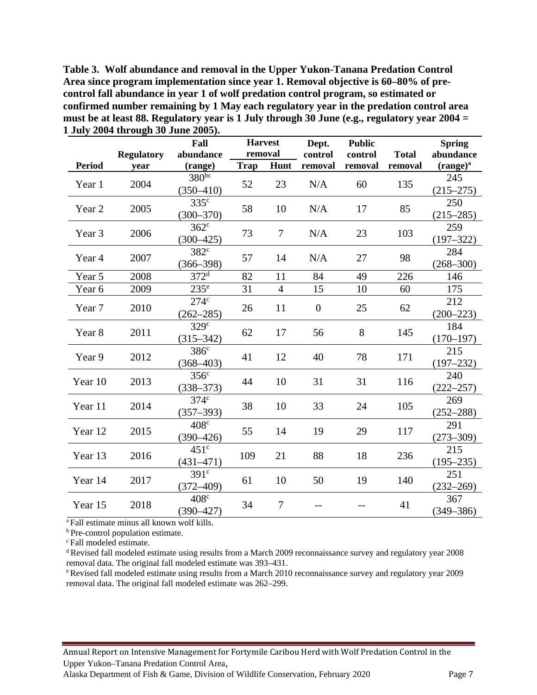**Table 3. Wolf abundance and removal in the Upper Yukon-Tanana Predation Control Area since program implementation since year 1. Removal objective is 60–80% of precontrol fall abundance in year 1 of wolf predation control program, so estimated or confirmed number remaining by 1 May each regulatory year in the predation control area must be at least 88. Regulatory year is 1 July through 30 June (e.g., regulatory year 2004 = 1 July 2004 through 30 June 2005).** 

|                 |                   | Fall                        | <b>Harvest</b> |                | Dept.            | <b>Public</b> |              | <b>Spring</b>        |
|-----------------|-------------------|-----------------------------|----------------|----------------|------------------|---------------|--------------|----------------------|
|                 | <b>Regulatory</b> | abundance                   | removal        |                | control          | control       | <b>Total</b> | abundance            |
| <b>Period</b>   | year              | (range)                     | Trap           | Hunt           | removal          | removal       | removal      | $(range)^a$          |
| Year 1          | 2004              | $380^{bc}$<br>$(350 - 410)$ | 52             | 23             | N/A              | 60            | 135          | 245<br>$(215 - 275)$ |
|                 |                   | 335 <sup>c</sup>            |                |                |                  |               |              | 250                  |
| Year 2          | 2005              | $(300 - 370)$               | 58             | 10             | N/A              | 17            | 85           | $(215 - 285)$        |
|                 |                   | $362^{\circ}$               | 73             |                |                  |               | 103          | 259                  |
| Year 3          | 2006              | $(300 - 425)$               |                | $\tau$         | N/A              | 23            |              | $(197 - 322)$        |
| Year 4          | 2007              | 382 <sup>c</sup>            | 57             | 14             | N/A              | 27            |              | 284                  |
|                 |                   | $(366 - 398)$               |                |                |                  |               | 98           | $(268 - 300)$        |
| Year 5          | 2008              | $372^d$                     | 82             | 11             | 84               | 49            | 226          | 146                  |
| Year 6          | 2009              | 235 <sup>e</sup>            | 31             | $\overline{4}$ | 15               | 10            | 60           | 175                  |
| Year 7          | 2010              | 274 <sup>c</sup>            | 26             | 11             | $\boldsymbol{0}$ | 25            | 62           | 212                  |
|                 |                   | $(262 - 285)$               |                |                |                  |               |              | $(200 - 223)$        |
| Year 8          | 2011              | 329 <sup>c</sup>            | 62             | 17             | 56               | 8             | 145          | 184                  |
|                 |                   | $(315 - 342)$               |                |                |                  |               |              | $(170 - 197)$        |
| Year 9          | 2012              | 386 <sup>c</sup>            | 41             | 12             | 40               | 78            | 171          | 215                  |
|                 |                   | $(368 - 403)$               |                |                |                  |               |              | $(197 - 232)$        |
| Year 10         | 2013              | 356 <sup>c</sup>            | 44             | 10             | 31               | 31            | 116          | 240                  |
|                 |                   | $(338 - 373)$               |                |                |                  |               |              | $(222 - 257)$        |
| Year 11         | 2014              | 374 <sup>c</sup>            | 38             | 10             | 33               | 24            | 105          | 269                  |
|                 |                   | $(357 - 393)$               |                |                |                  |               |              | $(252 - 288)$        |
| Year 12         | 2015              | 408 <sup>c</sup>            | 55             | 14             | 19               | 29            | 117          | 291                  |
|                 |                   | $(390 - 426)$               |                |                |                  |               |              | $(273 - 309)$        |
| Year 13         | 2016              | $451^{\circ}$               | 109            | 21             | 88               | 18            | 236          | 215                  |
|                 |                   | $(431 - 471)$               |                |                |                  |               |              | $(195 - 235)$        |
| 2017<br>Year 14 |                   | 391 <sup>c</sup>            | 61             | 10             | 50               | 19            | 140          | 251                  |
|                 |                   | $(372 - 409)$               |                |                |                  |               |              | $(232 - 269)$        |
| Year 15         | 2018              | $408^\circ$                 | 34             | $\overline{7}$ | $-$              |               | 41           | 367                  |
|                 |                   | $(390 - 427)$               |                |                |                  |               |              | $(349 - 386)$        |

<sup>a</sup> Fall estimate minus all known wolf kills.

**b** Pre-control population estimate.

c Fall modeled estimate.

d Revised fall modeled estimate using results from a March 2009 reconnaissance survey and regulatory year 2008 removal data. The original fall modeled estimate was 393–431.

e Revised fall modeled estimate using results from a March 2010 reconnaissance survey and regulatory year 2009 removal data. The original fall modeled estimate was 262–299.

Annual Report on Intensive Management for Fortymile Caribou Herd with Wolf Predation Control in the Upper Yukon–Tanana Predation Control Area,

Alaska Department of Fish & Game, Division of Wildlife Conservation, February 2020 Page 7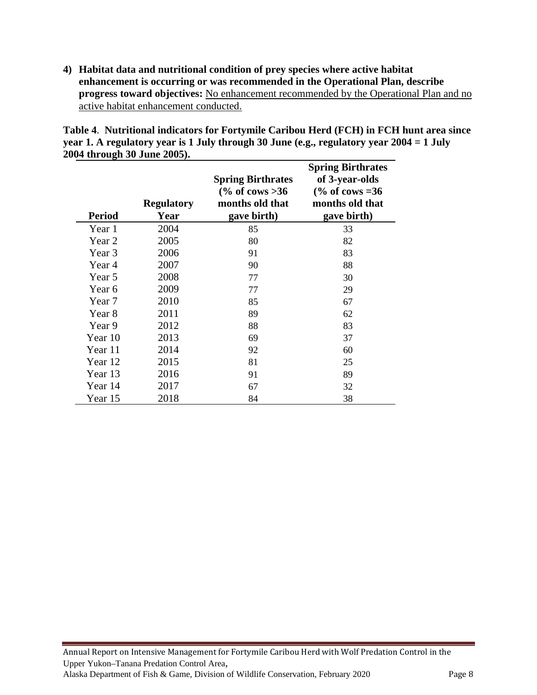**4) Habitat data and nutritional condition of prey species where active habitat enhancement is occurring or was recommended in the Operational Plan, describe progress toward objectives:** No enhancement recommended by the Operational Plan and no active habitat enhancement conducted.

|                             |  |  |                                    | Table 4. Nutritional indicators for Fortymile Caribou Herd (FCH) in FCH hunt area since    |
|-----------------------------|--|--|------------------------------------|--------------------------------------------------------------------------------------------|
|                             |  |  |                                    | year 1. A regulatory year is 1 July through 30 June (e.g., regulatory year $2004 = 1$ July |
| 2004 through 30 June 2005). |  |  |                                    |                                                                                            |
|                             |  |  | $\sim$ $\sim$ $\sim$ $\sim$ $\sim$ |                                                                                            |

| <b>Period</b> | <b>Regulatory</b><br>Year | <b>Spring Birthrates</b><br>$\frac{6}{6}$ of cows >36<br>months old that<br>gave birth) | <b>Spring Birthrates</b><br>of 3-year-olds<br>$\frac{6}{6}$ of cows =36<br>months old that<br>gave birth) |
|---------------|---------------------------|-----------------------------------------------------------------------------------------|-----------------------------------------------------------------------------------------------------------|
| Year 1        | 2004                      | 85                                                                                      | 33                                                                                                        |
| Year 2        | 2005                      | 80                                                                                      | 82                                                                                                        |
| Year 3        | 2006                      | 91                                                                                      | 83                                                                                                        |
| Year 4        | 2007                      | 90                                                                                      | 88                                                                                                        |
| Year 5        | 2008                      | 77                                                                                      | 30                                                                                                        |
| Year 6        | 2009                      | 77                                                                                      | 29                                                                                                        |
| Year 7        | 2010                      | 85                                                                                      | 67                                                                                                        |
| Year 8        | 2011                      | 89                                                                                      | 62                                                                                                        |
| Year 9        | 2012                      | 88                                                                                      | 83                                                                                                        |
| Year 10       | 2013                      | 69                                                                                      | 37                                                                                                        |
| Year 11       | 2014                      | 92                                                                                      | 60                                                                                                        |
| Year 12       | 2015                      | 81                                                                                      | 25                                                                                                        |
| Year 13       | 2016                      | 91                                                                                      | 89                                                                                                        |
| Year 14       | 2017                      | 67                                                                                      | 32                                                                                                        |
| Year 15       | 2018                      | 84                                                                                      | 38                                                                                                        |

Annual Report on Intensive Management for Fortymile Caribou Herd with Wolf Predation Control in the Upper Yukon–Tanana Predation Control Area, Alaska Department of Fish & Game, Division of Wildlife Conservation, February 2020 Page 8